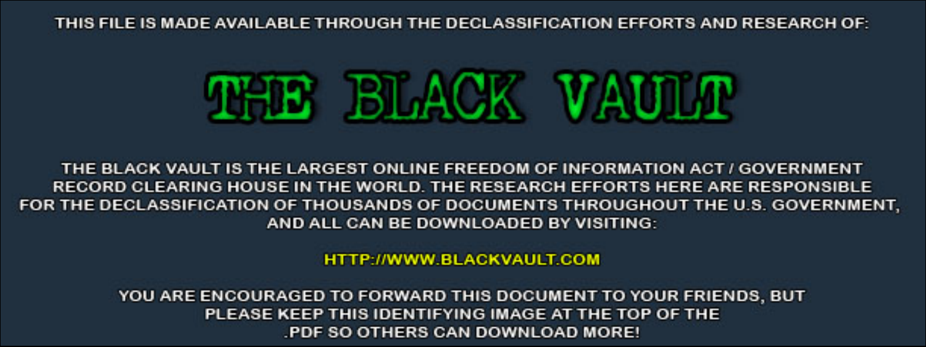THIS FILE IS MADE AVAILABLE THROUGH THE DECLASSIFICATION EFFORTS AND RESEARCH OF:



THE BLACK VAULT IS THE LARGEST ONLINE FREEDOM OF INFORMATION ACT / GOVERNMENT RECORD CLEARING HOUSE IN THE WORLD. THE RESEARCH EFFORTS HERE ARE RESPONSIBLE FOR THE DECLASSIFICATION OF THOUSANDS OF DOCUMENTS THROUGHOUT THE U.S. GOVERNMENT, AND ALL CAN BE DOWNLOADED BY VISITING:

**HTTP://WWW.BLACKVAULT.COM** 

YOU ARE ENCOURAGED TO FORWARD THIS DOCUMENT TO YOUR FRIENDS, BUT PLEASE KEEP THIS IDENTIFYING IMAGE AT THE TOP OF THE PDF SO OTHERS CAN DOWNLOAD MORE!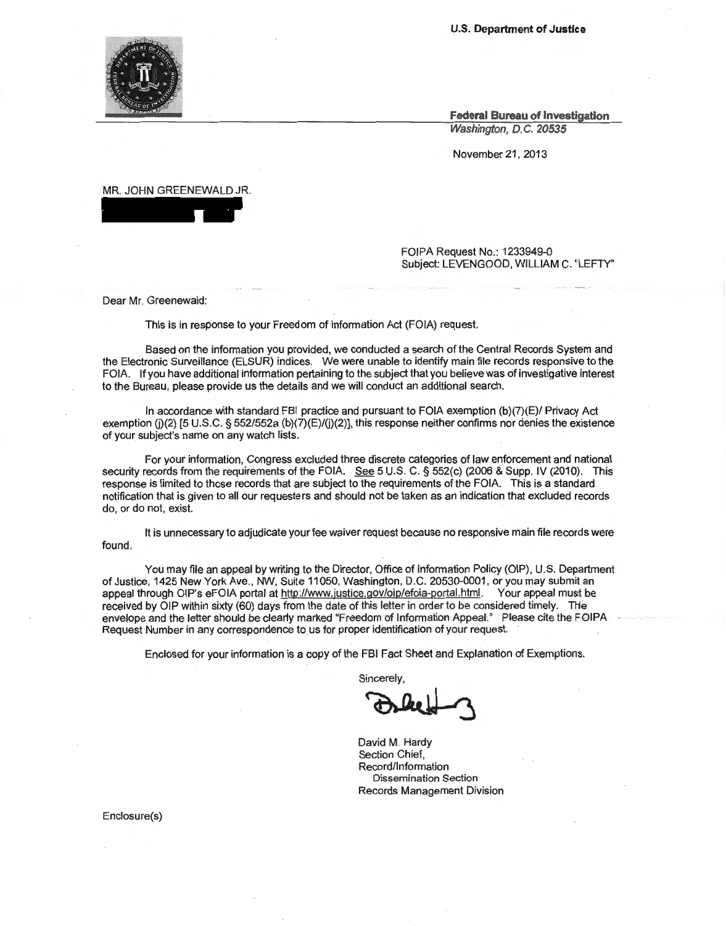**U.S. Department of Justice** 

**Federal Bureau of Investigation**  Washington, D.C. 20535

November 21 , 2013

MR. JOHN GREENEWALD JR.

FOIPA Request No.: 1233949-0 Subject: LEVENGOOD, WILLIAM C. ' LEFTY"

Dear Mr. Greenewald:

This is in response to your Freedom of Information Act (FOIA) request.

Based on the information you provided, we conducted a search of the Central Records System and the Electronic Surveillance (ELSUR) indices. We were unable to identify main file records responsive to the FOIA. If you have additional information pertaining to the subject that you believe was of investigative interest to the Bureau, please provide us the details and we will conduct an additional search.

In accordance with standard FBI practice and pursuant to FOIA exemption (b)(7)(E)/ Privacy Act exemption (j)(2) [5 U.S.C. § 552/552a (b)(7)(E)/(j)(2)], this response neither confirms nor denies the existence of your subject's name on any watch lists.

For your information, Congress excluded three discrete categories of law enforcement and national security records from the requirements of the FOIA. See 5 U.S. C. § 552(c) (2006 & Supp. IV (2010). This response is limited to those records that are subject to the requirements of the FOIA. This is a standard notification that is given to all our requesters and should not be taken as an indication that excluded records do, or do not, exist.

It is unnecessary to adjudicate your fee waiver request because no responsive main file records were found.

You may file an appeal by writing to the Director, Office of Information Policy (OIP), U.S. Department of Justice, 1425 New York Ave., NW, Suite 11050, Washington, D.C. 20530-0001 , or you may submit an appeal through OIP's eFOIA portal at http://www.justice.gov/oip/efoia-portal.html. Your appeal must be received by OIP within sixty (60) days from the date of this letter in order to be considered timely. THe envelope and the letter should be clearly marked "Freedom of Information Appeal." Please cite the FOIPA Request Number in any correspondence to us for proper identification of your request.

Enclosed for your information is a copy of the FBI Fact Sheet and Explanation of Exemptions.

Sincerely,

FBI Fact Sheet and Explanation of Exemptions.<br>incerely,<br>avid M. Hardy

David M. Hardy Section Chief, Record/Information Dissemination Section Records Management Division

Enclosure(s)

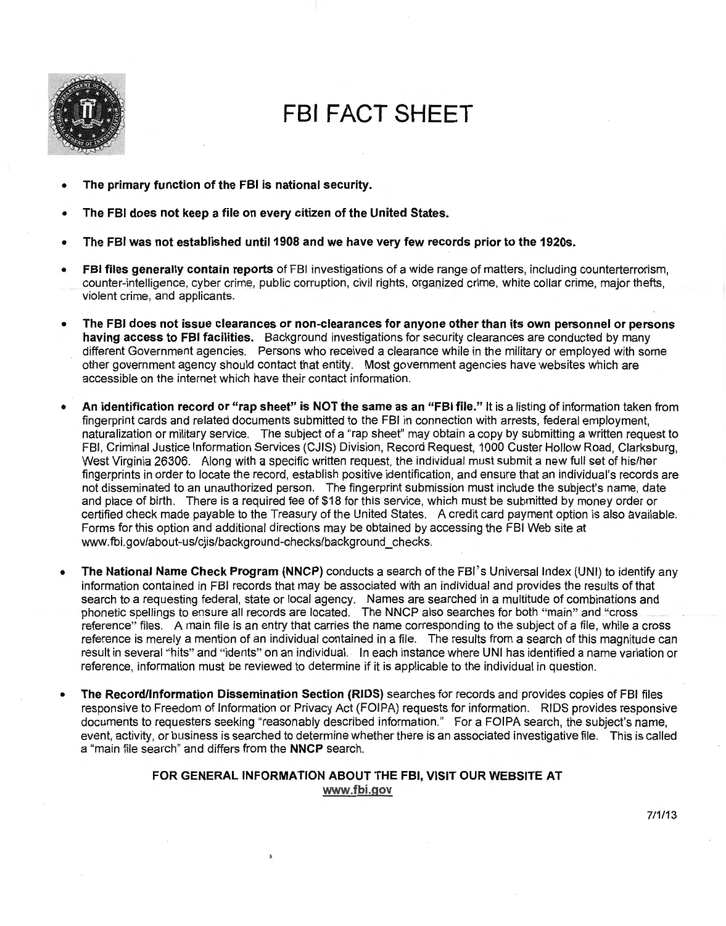

## **FBI FACT SHEET**

- **The primary function of the FBI is national security.**
- **The FBI does not keep a file on every citizen of the United States.**
- **The FBI was not established unti11908 and we have very few records prior to the 1920s.**
- **FBI files generally contain reports** of FBI investigations of a wide range of matters, including counterterrorism, counter-intelligence, cyber crime, public corruption, civil rights, organized crime, white collar crime, major thefts, violent crime, and applicants.
- **The FBI does not issue clearances or non-clearances for anyone other than its own personnel or persons having access to FBI facilities.** Background investigations for security clearances are conducted by many different Government agencies. Persons who received a clearance while in the military or employed with some other government agency should contact that entity. Most government agencies have websites which are accessible on the internet which have their contact information.
- **An identification record or "rap sheet" is NOT the same as an "FBI file."** It is a listing of information taken from fingerprint cards and related documents submitted to the FBI in connection with arrests, federal employment, naturalization or military service. The subject of a "rap sheet" may obtain a copy by submitting a written request to FBI, Criminal Justice Information Services (CJIS) Division, Record Request, 1000 Custer Hollow Road, Clarksburg, West Virginia 26306. Along with a specific written request, the individual must submit a new full set of his/her fingerprints in order to locate the record, establish positive identification, and ensure that an individual's records are not disseminated to an unauthorized person. The fingerprint submission must include the subject's name, date and place of birth. There is a required fee of \$18 for this service, which must be submitted by money order or certified check made payable to the Treasury of the United States. A credit card payment option is also available. Forms for this option and additional directions may be obtained by accessing the FBI Web site at www.fbi.gov/about-us/cjis/background-checks/background\_checks.
- **The National Name Check Program (NNCP)** conducts a search of the FBI's Universal Index (UNI) to identify any information contained in FBI records that may be associated with an individual and provides the results of that search to a requesting federal, state or local agency. Names are searched in a multitude of combinations and phonetic spellings to ensure all records are located. The NNCP also searches for both "main" and "cross \_ reference" files. A main file is an entry that carries the name corresponding to the subject of a file , while a cross reference is merely a mention of an individual contained in a file. The results from a search of this magnitude can result in several "hits" and "idents" on an individual. In each instance where UNI has identified a name variation or reference, information must be reviewed to determine if it is applicable to the individual in question.
- **The Record/Information Dissemination Section (RIDS)** searches for records and provides copies of FBI files responsive to Freedom of Information or Privacy Act (FOIPA) requests for information. RIDS provides responsive documents to requesters seeking "reasonably described information." For a FOIPA search, the subject's name, event, activity, or business is searched to determine whether there is an associated investigative file. This is called a "main file search" and differs from the **NNCP** search.

## **FOR GENERAL INFORMATION ABOUT THE FBI, VISIT OUR WEBSITE AT www.fbi.gov**

7/1/13